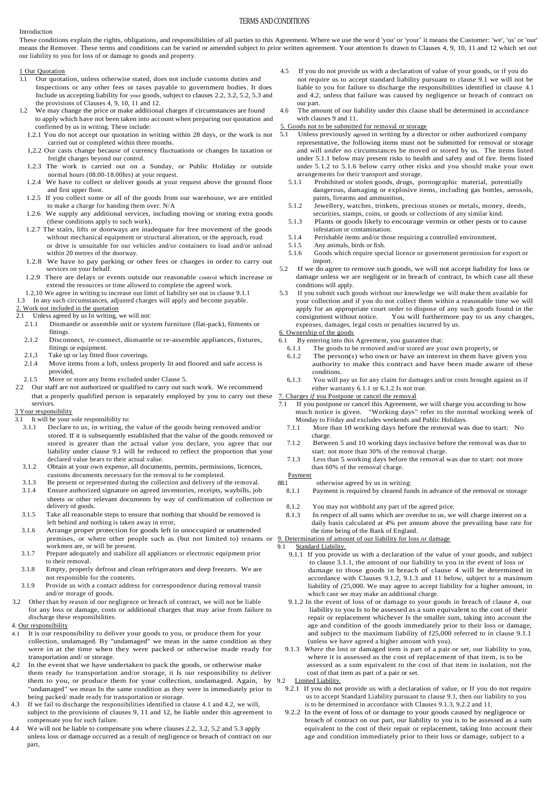## TERMS AND CONDITIONS

#### Introduction

These conditions explain the rights, obligations, and responsibilities of all parties to this Agreement. Where we use the wor d 'you' or 'your' it means the Customer: 'we', 'us' or 'our' means the Remover. These terms and conditions can be varied or amended subject to prior written agreement. Your attention Is drawn to Clauses 4, 9, 10, 11 and 12 which set out our liability to you for loss of or damage to goods and property.

# 1 Our Quotation

- 1.1 Our quotation, unless otherwise stated, does not include customs duties and Inspections or any other fees or taxes payable to government bodies. It does Include us accepting liability for your goods, subject to clauses 2.2, 3.2, 5.2, 5.3 and the provisions of Clauses 4, 9, 10, 11 and 12.
- 1.2 We may change the price or make additional charges if circumstances are found to apply which have not been taken into account when preparing our quotation and confirmed by us in writing. These include:
	- 1.2.1 You do not accept our quotation in writing within 28 days, or the work is not carried out or completed within three months.
	- 1,2.2 Our casts change because of currency fluctuations or changes In taxation or freight charges beyond our control.
	- 1.2.3 The work is carried out on a Sunday, or Public Holiday or outside normal hours (08.00-18.00hrs) at your request.
	- 1.2.4 We have to collect or deliver goods at your request above the ground floor and first upper floor.
	- 1.2.5 If you collect some or all of the goods from our warehouse, we are entitled to make a charge for handing them over. N/A
	- 1.2.6 We supply any additional services, including moving or storing extra goods (these conditions apply to such work).
	- 1.2.7 The stairs, lifts or doorways are inadequate for free movement of the goods without mechanical equipment or structural alteration, or the approach, road or drive is unsuitable for our vehicles and/or containers to load and/or unload within 20 metres of the doorway.
- 1.2.8 We have to pay parking or other fees or charges in order to carry out services on your behalf.
- 1.2.9 There are delays or events outside our reasonable control which increase or extend the resources or time allowed to complete the agreed work.
- 1.2,10 We agree in writing to increase our limit of liability set out in clause 9.1.1
- 1.3 In any such circumstances, adjusted charges will apply and become payable.

# 2. Work not included in the quotation

#### 2.1 Unless agreed by us In writing, we will not:

- 2.1.1 Dismantle or assemble unit or system furniture (flat-pack), fitments or fittings.
- 2.1.2 Disconnect, re-connect, dismantle or re-assemble appliances, fixtures, fittings or equipment.
- 2.1,3 Take up or lay fitted floor coverings.
- 2.1.4 Move items from a loft, unless properly lit and floored and safe access is provided,
- 2.1.5 Move or store any Items excluded under Clause 5.
- 2.2 Our staff are not authorized or qualified to carry out such work. We recommend that a properly qualified person is separately employed by you to carry out these services.

#### 3 Your responsibility

- 3.1 It will be your sole responsibility to:
	- 3.1.1 Declare to us, in writing, the value of the goods being removed and/or stored. If it is subsequently established that the value of the goods removed or stored is greater than the actual value you declare, you agree that our liability under clause 9.1 will be reduced to reflect the proportion that your declared value bears to their actual value.
	- 3.1.2 Obtain at your own expense, all documents, permits, permissions, licences, customs documents necessary for the removal to be completed.
	- 3.1.3 Be present or represented during the collection and delivery of the removal. 3.1.4 Ensure authorized signature on agreed inventories, receipts, waybills, job sheets or other relevant documents by way of confirmation of collection or delivery of goods.
	- 3.1.5 Take all reasonable steps to ensure that nothing that should be removed is left behind and nothing is taken away in error,
	- 3.1.6 Arrange proper protection for goods left in unoccupied or unattended premises, or where other people such as (but not limited to) tenants or 9. Determination of amount of our liability for loss or damage workmen are, or will be present.
	- 3.1.7 Prepare adequately and stabilize all appliances or electronic equipment prior to their removal.
	- 3.1.8 Empty, properly defrost and clean refrigerators and deep freezers. We are not responsible for the contents.
- 3.1.9 Provide us with a contact address for correspondence during removal transit and/or storage of goods.
- 3.2 Other than by reason of our negligence or breach of contract, we will not be liable for any loss or damage, costs or additional charges that may arise from failure to discharge these responsibilities.
- 4. Our responsibility
- It is our responsibility to deliver your goods to you, or produce them for your collection, undamaged. By "undamaged" we mean in the same condition as they were in at the time when they were packed or otherwise made ready for transportation and/ or storage.
- 4,2 In the event that we have undertaken to pack the goods, or otherwise make them ready for transportation and/or storage, it Is our responsibility to deliver them to you, or produce them for your collection, undamaged. Again, by "undamaged" we mean In the same condition as they were in immediately prior to being packed/ made ready for transportation or storage.
- 4.3 If we fail to discharge the responsibilities identified in clause 4.1 and 4.2, we will, subject to the provisions of clauses 9, 11 and 12, be liable under this agreement to compensate you for such failure.
- 4.4 We will not be liable to compensate you where clauses 2.2, 3.2, 5.2 and 5.3 apply unless loss or damage occurred as a result of negligence or breach of contract on our part,
- If you do not provide us with a declaration of value of your goods, or if you do not require us to accept standard liability pursuant to clause 9.1 we will not be liable to you for failure to discharge the responsibilities identified in clause 4.1 and 4.2, unless that failure was caused by negligence or breach of contract on our part.
- 4.6 The amount of our liability under this clause shall be determined in accordance with clauses 9 and 11.

#### 5. Goods not to be submitted for removal or storage

- 5.1 Unless previously agreed in writing by a director or other authorized company representative, the following items must not be submitted for removal or storage and will *under* no circumstances be moved or stored by us. The items listed under 5.1.1 below may present risks to health and safety and of fire. Items listed under 5.1.2 to 5.1.6 below carry other risks and you should make your own arrangements for their transport and storage.
	- 5.1.1 Prohibited or stolen goods, drugs, pornographic material, potentially dangerous, damaging or explosive items, including gas bottles, aerosols, paints, firearms and ammunition,
	- 5.1.2 Jewellery, watches, trinkets, precious stones or metals, money, deeds, securities, stamps, coins, or goods or collections of any similar kind.
	- 5.1.3 Plants or goods likely to encourage vermin or other pests or to cause infestation or contamination.
	- 5.1.4 Perishable items and/or those requiring a controlled environment,
	- 5.1.5 Any animals, birds or fish.
	- 5.1.6 Goods which require special licence or government permission for export or import.
- 5.2 If we do agree to remove such goods, we will not accept liability for loss or damage unless we are negligent or in breach of contract, In which case all these conditions will apply.
- 5.3 If you submit such goods without our knowledge we will make them available for your collection and if you do not collect them within a reasonable time we will apply for an appropriate court order to dispose of any such goods found in the consignment without notice. You will furthermore pay to us any charges, expenses, damages, legal costs or penalties incurred by us.

6. Ownership of the goods

- 6.1 By entering into this Agreement, you guarantee that:<br>6.1.1 The goods to be removed and/or stored are vo
	- The goods to be removed and/or stored are your own property, or
	- 6.1.2 The person(s) who own or have an interest in them have given you authority to make this contract and have been made aware of these conditions.
	- 6,1.3 You will pay us for any claim for damages and/or costs brought against us if either warranty 6.1.1 or 6.1.2 Is not true.

Charges *if* you Postpone or cancel the removal

- 7.1 If you postpone or cancel this Agreement, we will charge you according to how much notice is given. "Working days" refer to the normal working week of Monday to Friday and excludes weekends and Public Holidays.<br>7.1.1 More than 10 working days before the removal wa
- More than 10 working days before the removal was due to start: No charge.
- 7.1.2 Between 5 and 10 working days inclusive before the removal was due to start: not more than 30% of the removal charge.
- 7.1.3 Less than 5 working days before the removal was due to start: not more than 60% of the removal charge.

Payment

- 88.1 otherwise agreed by us in writing: 8.1.1 Payment is required by cleared funds in advance of the removal or storage
	- 8.1.2 You may not withhold any part of the agreed price.
	- 8.1.3 In respect of all sums which are overdue to us, we will charge interest on a daily basis calculated at 4% per annum above the prevailing base rate for the time being of the Bank of England.

- 9.1 Standard Liability.
	- 9.1.1 If you provide us with a declaration of the value of your goods, and subject to clause 3.1.1, the amount of our liability to you in the event of loss or damage to those goods in breach of clause 4 will be determined in accordance with Clauses 9.1.2, 9.1.3 and 11 below, subject to a maximum liability of *(*25,000. We may agree to accept liability for a higher amount, in which case we may make an additional charge.
	- 9.1.2 In the event of loss of or damage to your goods in breach of clause 4, our liability to you Is to be assessed as a sum equivalent to the cost of their repair or replacement whichever Is the smaller sum, taking into account the age and condition of the goods immediately prior to their loss or damage, and subject to the maximum liability of f25,000 referred to in clause 9.1.1 (unless we have agreed a higher amount with you).
	- 9.1.3 *Where* the lost or damaged item is part of a pair or set, our liability to you, where it is assessed as the cost of replacement of that item, is to be assessed as a sum equivalent to the cost of that item in isolation, not the cost of that item as part of a pair or set.
- 9.2 Limited Liability.
	- 9.2.1 If you do not provide us with a declaration of value, or If you do not require us to accept Standard Liability pursuant to clause 9.1, then our liability to you is to be determined in accordance with Clauses 9.1.3, 9.2.2 and 11.
	- 9.2.2 In the event of loss of or damage to your goods caused by negligence or breach of contract on our part, our liability to you is to be assessed as a sum equivalent to the cost of their repair or replacement, taking Into account their age and condition immediately prior to their loss or damage, subject to a